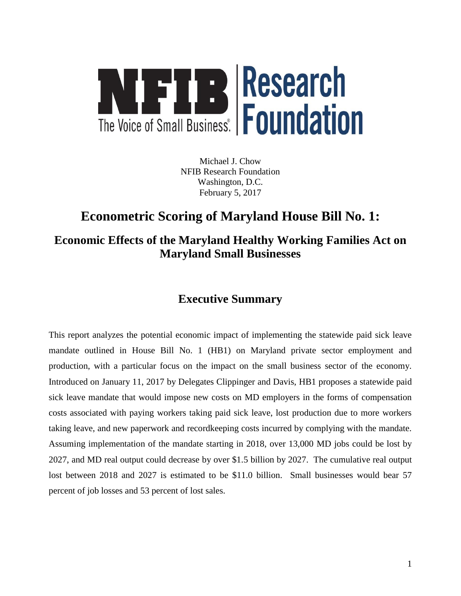

Michael J. Chow NFIB Research Foundation Washington, D.C. February 5, 2017

# **Econometric Scoring of Maryland House Bill No. 1:**

## **Economic Effects of the Maryland Healthy Working Families Act on Maryland Small Businesses**

## **Executive Summary**

This report analyzes the potential economic impact of implementing the statewide paid sick leave mandate outlined in House Bill No. 1 (HB1) on Maryland private sector employment and production, with a particular focus on the impact on the small business sector of the economy. Introduced on January 11, 2017 by Delegates Clippinger and Davis, HB1 proposes a statewide paid sick leave mandate that would impose new costs on MD employers in the forms of compensation costs associated with paying workers taking paid sick leave, lost production due to more workers taking leave, and new paperwork and recordkeeping costs incurred by complying with the mandate. Assuming implementation of the mandate starting in 2018, over 13,000 MD jobs could be lost by 2027, and MD real output could decrease by over \$1.5 billion by 2027. The cumulative real output lost between 2018 and 2027 is estimated to be \$11.0 billion. Small businesses would bear 57 percent of job losses and 53 percent of lost sales.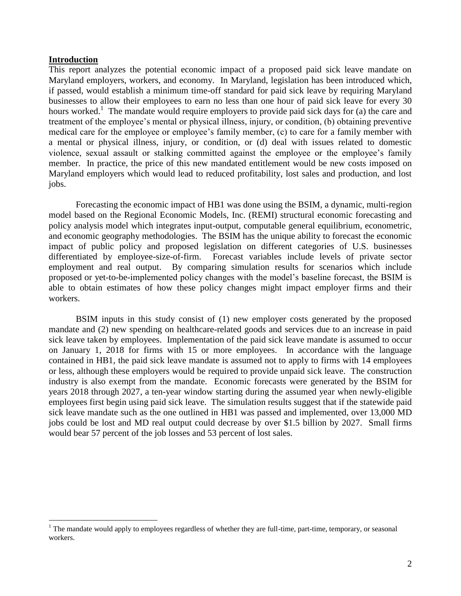#### **Introduction**

 $\overline{a}$ 

This report analyzes the potential economic impact of a proposed paid sick leave mandate on Maryland employers, workers, and economy. In Maryland, legislation has been introduced which, if passed, would establish a minimum time-off standard for paid sick leave by requiring Maryland businesses to allow their employees to earn no less than one hour of paid sick leave for every 30 hours worked.<sup>1</sup> The mandate would require employers to provide paid sick days for (a) the care and treatment of the employee's mental or physical illness, injury, or condition, (b) obtaining preventive medical care for the employee or employee's family member, (c) to care for a family member with a mental or physical illness, injury, or condition, or (d) deal with issues related to domestic violence, sexual assault or stalking committed against the employee or the employee's family member. In practice, the price of this new mandated entitlement would be new costs imposed on Maryland employers which would lead to reduced profitability, lost sales and production, and lost jobs.

Forecasting the economic impact of HB1 was done using the BSIM, a dynamic, multi-region model based on the Regional Economic Models, Inc. (REMI) structural economic forecasting and policy analysis model which integrates input-output, computable general equilibrium, econometric, and economic geography methodologies. The BSIM has the unique ability to forecast the economic impact of public policy and proposed legislation on different categories of U.S. businesses differentiated by employee-size-of-firm. Forecast variables include levels of private sector employment and real output. By comparing simulation results for scenarios which include proposed or yet-to-be-implemented policy changes with the model's baseline forecast, the BSIM is able to obtain estimates of how these policy changes might impact employer firms and their workers.

BSIM inputs in this study consist of (1) new employer costs generated by the proposed mandate and (2) new spending on healthcare-related goods and services due to an increase in paid sick leave taken by employees. Implementation of the paid sick leave mandate is assumed to occur on January 1, 2018 for firms with 15 or more employees. In accordance with the language contained in HB1, the paid sick leave mandate is assumed not to apply to firms with 14 employees or less, although these employers would be required to provide unpaid sick leave. The construction industry is also exempt from the mandate. Economic forecasts were generated by the BSIM for years 2018 through 2027, a ten-year window starting during the assumed year when newly-eligible employees first begin using paid sick leave. The simulation results suggest that if the statewide paid sick leave mandate such as the one outlined in HB1 was passed and implemented, over 13,000 MD jobs could be lost and MD real output could decrease by over \$1.5 billion by 2027. Small firms would bear 57 percent of the job losses and 53 percent of lost sales.

 $1$  The mandate would apply to employees regardless of whether they are full-time, part-time, temporary, or seasonal workers.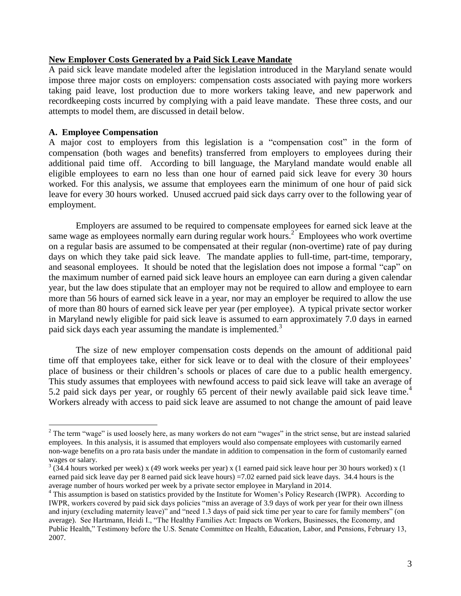#### **New Employer Costs Generated by a Paid Sick Leave Mandate**

A paid sick leave mandate modeled after the legislation introduced in the Maryland senate would impose three major costs on employers: compensation costs associated with paying more workers taking paid leave, lost production due to more workers taking leave, and new paperwork and recordkeeping costs incurred by complying with a paid leave mandate. These three costs, and our attempts to model them, are discussed in detail below.

### **A. Employee Compensation**

 $\overline{a}$ 

A major cost to employers from this legislation is a "compensation cost" in the form of compensation (both wages and benefits) transferred from employers to employees during their additional paid time off. According to bill language, the Maryland mandate would enable all eligible employees to earn no less than one hour of earned paid sick leave for every 30 hours worked. For this analysis, we assume that employees earn the minimum of one hour of paid sick leave for every 30 hours worked. Unused accrued paid sick days carry over to the following year of employment.

Employers are assumed to be required to compensate employees for earned sick leave at the same wage as employees normally earn during regular work hours.<sup>2</sup> Employees who work overtime on a regular basis are assumed to be compensated at their regular (non-overtime) rate of pay during days on which they take paid sick leave. The mandate applies to full-time, part-time, temporary, and seasonal employees. It should be noted that the legislation does not impose a formal "cap" on the maximum number of earned paid sick leave hours an employee can earn during a given calendar year, but the law does stipulate that an employer may not be required to allow and employee to earn more than 56 hours of earned sick leave in a year, nor may an employer be required to allow the use of more than 80 hours of earned sick leave per year (per employee). A typical private sector worker in Maryland newly eligible for paid sick leave is assumed to earn approximately 7.0 days in earned paid sick days each year assuming the mandate is implemented.<sup>3</sup>

The size of new employer compensation costs depends on the amount of additional paid time off that employees take, either for sick leave or to deal with the closure of their employees' place of business or their children's schools or places of care due to a public health emergency. This study assumes that employees with newfound access to paid sick leave will take an average of 5.2 paid sick days per year, or roughly 65 percent of their newly available paid sick leave time.<sup>4</sup> Workers already with access to paid sick leave are assumed to not change the amount of paid leave

 $2$  The term "wage" is used loosely here, as many workers do not earn "wages" in the strict sense, but are instead salaried employees. In this analysis, it is assumed that employers would also compensate employees with customarily earned non-wage benefits on a pro rata basis under the mandate in addition to compensation in the form of customarily earned wages or salary.

 $3(34.4$  hours worked per week) x (49 work weeks per year) x (1 earned paid sick leave hour per 30 hours worked) x (1 earned paid sick leave day per 8 earned paid sick leave hours) =7.02 earned paid sick leave days. 34.4 hours is the average number of hours worked per week by a private sector employee in Maryland in 2014.

 $4$  This assumption is based on statistics provided by the Institute for Women's Policy Research (IWPR). According to IWPR, workers covered by paid sick days policies "miss an average of 3.9 days of work per year for their own illness and injury (excluding maternity leave)" and "need 1.3 days of paid sick time per year to care for family members" (on average). See Hartmann, Heidi I., "The Healthy Families Act: Impacts on Workers, Businesses, the Economy, and Public Health," Testimony before the U.S. Senate Committee on Health, Education, Labor, and Pensions, February 13, 2007.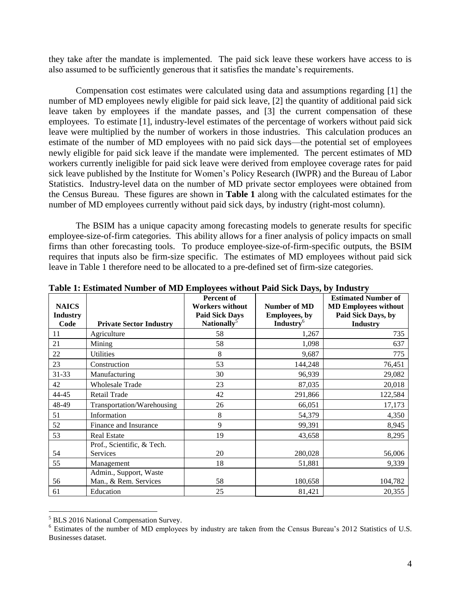they take after the mandate is implemented. The paid sick leave these workers have access to is also assumed to be sufficiently generous that it satisfies the mandate's requirements.

Compensation cost estimates were calculated using data and assumptions regarding [1] the number of MD employees newly eligible for paid sick leave, [2] the quantity of additional paid sick leave taken by employees if the mandate passes, and [3] the current compensation of these employees. To estimate [1], industry-level estimates of the percentage of workers without paid sick leave were multiplied by the number of workers in those industries. This calculation produces an estimate of the number of MD employees with no paid sick days—the potential set of employees newly eligible for paid sick leave if the mandate were implemented. The percent estimates of MD workers currently ineligible for paid sick leave were derived from employee coverage rates for paid sick leave published by the Institute for Women's Policy Research (IWPR) and the Bureau of Labor Statistics. Industry-level data on the number of MD private sector employees were obtained from the Census Bureau. These figures are shown in **Table 1** along with the calculated estimates for the number of MD employees currently without paid sick days, by industry (right-most column).

The BSIM has a unique capacity among forecasting models to generate results for specific employee-size-of-firm categories. This ability allows for a finer analysis of policy impacts on small firms than other forecasting tools. To produce employee-size-of-firm-specific outputs, the BSIM requires that inputs also be firm-size specific. The estimates of MD employees without paid sick leave in Table 1 therefore need to be allocated to a pre-defined set of firm-size categories.

| able 1. Ebeniarea Fannoel of the Employees while at the blen $\mathbf{p}_0$ of the most |                                |                         |                              |                             |  |  |  |
|-----------------------------------------------------------------------------------------|--------------------------------|-------------------------|------------------------------|-----------------------------|--|--|--|
|                                                                                         |                                | Percent of              |                              | <b>Estimated Number of</b>  |  |  |  |
| <b>NAICS</b>                                                                            |                                | <b>Workers without</b>  | <b>Number of MD</b>          | <b>MD Employees without</b> |  |  |  |
| <b>Industry</b>                                                                         |                                | <b>Paid Sick Days</b>   | <b>Employees</b> , by        | Paid Sick Days, by          |  |  |  |
| Code                                                                                    | <b>Private Sector Industry</b> | Nationally <sup>5</sup> | <b>Industry</b> <sup>6</sup> | <b>Industry</b>             |  |  |  |
| 11                                                                                      | Agriculture                    | 58                      | 1,267                        | 735                         |  |  |  |
| 21                                                                                      | Mining                         | 58                      | 1,098                        | 637                         |  |  |  |
| 22                                                                                      | <b>Utilities</b>               | 8                       | 9,687                        | 775                         |  |  |  |
| 23                                                                                      | Construction                   | 53                      | 144,248                      | 76,451                      |  |  |  |
| 31-33                                                                                   | Manufacturing                  | 30                      | 96,939                       | 29,082                      |  |  |  |
| 42                                                                                      | <b>Wholesale Trade</b>         | 23                      | 87,035                       | 20,018                      |  |  |  |
| 44-45                                                                                   | Retail Trade                   | 42                      | 291,866                      | 122,584                     |  |  |  |
| 48-49                                                                                   | Transportation/Warehousing     | 26                      | 66,051                       | 17,173                      |  |  |  |
| 51                                                                                      | Information                    | 8                       | 54,379                       | 4,350                       |  |  |  |
| 52                                                                                      | Finance and Insurance          | 9                       | 99,391                       | 8,945                       |  |  |  |
| 53                                                                                      | <b>Real Estate</b>             | 19                      | 43,658                       | 8,295                       |  |  |  |
|                                                                                         | Prof., Scientific, & Tech.     |                         |                              |                             |  |  |  |
| 54                                                                                      | <b>Services</b>                | 20                      | 280,028                      | 56,006                      |  |  |  |
| 55                                                                                      | Management                     | 18                      | 51,881                       | 9,339                       |  |  |  |
|                                                                                         | Admin., Support, Waste         |                         |                              |                             |  |  |  |
| 56                                                                                      | Man., & Rem. Services          | 58                      | 180,658                      | 104,782                     |  |  |  |
| 61                                                                                      | Education                      | 25                      | 81,421                       | 20,355                      |  |  |  |

**Table 1: Estimated Number of MD Employees without Paid Sick Days, by Industry**

<sup>5</sup> BLS 2016 National Compensation Survey.

<sup>&</sup>lt;sup>6</sup> Estimates of the number of MD employees by industry are taken from the Census Bureau's 2012 Statistics of U.S. Businesses dataset.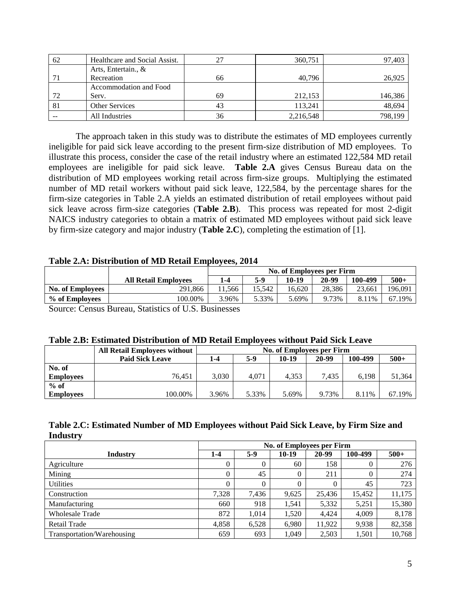| 62 | Healthcare and Social Assist. | 27 | 360,751   | 97,403  |
|----|-------------------------------|----|-----------|---------|
|    | Arts, Entertain., &           |    |           |         |
|    | Recreation                    | 66 | 40,796    | 26,925  |
|    | Accommodation and Food        |    |           |         |
| 72 | Serv.                         | 69 | 212,153   | 146,386 |
| 81 | <b>Other Services</b>         | 43 | 113,241   | 48,694  |
|    | All Industries                | 36 | 2,216,548 | 798,199 |

The approach taken in this study was to distribute the estimates of MD employees currently ineligible for paid sick leave according to the present firm-size distribution of MD employees. To illustrate this process, consider the case of the retail industry where an estimated 122,584 MD retail employees are ineligible for paid sick leave. **Table 2.A** gives Census Bureau data on the distribution of MD employees working retail across firm-size groups. Multiplying the estimated number of MD retail workers without paid sick leave, 122,584, by the percentage shares for the firm-size categories in Table 2.A yields an estimated distribution of retail employees without paid sick leave across firm-size categories (**Table 2.B**). This process was repeated for most 2-digit NAICS industry categories to obtain a matrix of estimated MD employees without paid sick leave by firm-size category and major industry (**Table 2.C**), completing the estimation of [1].

## **Table 2.A: Distribution of MD Retail Employees, 2014**

|                         |                                               | No. of Employees per Firm |        |        |        |           |         |  |
|-------------------------|-----------------------------------------------|---------------------------|--------|--------|--------|-----------|---------|--|
|                         | <b>All Retail Employees</b>                   | 1-4                       | 5-9    | 10-19  | 20-99  | 100-499   | $500+$  |  |
| <b>No. of Employees</b> | 291.866                                       | .566                      | 15.542 | 16.620 | 28.386 | 23.661    | 196.091 |  |
| % of Employees          | 100.00%                                       | .96%                      | 5.33%  | .69%   | 9.73%  | 8.<br>11% | 67.19%  |  |
| $\sim$<br>$\sim$        | $2 - 2 - 2$<br>$\sim$ $\sim$ $\sim$<br>$\sim$ |                           |        |        |        |           |         |  |

Source: Census Bureau, Statistics of U.S. Businesses

#### **Table 2.B: Estimated Distribution of MD Retail Employees without Paid Sick Leave**

|                  | <b>All Retail Employees without</b> | No. of Employees per Firm |       |       |       |         |        |
|------------------|-------------------------------------|---------------------------|-------|-------|-------|---------|--------|
|                  | <b>Paid Sick Leave</b>              | 1-4                       | 5-9   | 10-19 | 20-99 | 100-499 | $500+$ |
| No. of           |                                     |                           |       |       |       |         |        |
| <b>Employees</b> | 76.451                              | 3.030                     | 4.071 | 4.353 | 7.435 | 6.198   | 51,364 |
| $%$ of           |                                     |                           |       |       |       |         |        |
| <b>Employees</b> | 100.00%                             | 3.96%                     | 5.33% | 5.69% | 9.73% | 8.11%   | 67.19% |

## **Table 2.C: Estimated Number of MD Employees without Paid Sick Leave, by Firm Size and Industry**

|                            | <b>No. of Employees per Firm</b> |          |          |          |          |        |  |
|----------------------------|----------------------------------|----------|----------|----------|----------|--------|--|
| Industry                   | 1-4                              | $5-9$    | $10-19$  | 20-99    | 100-499  | $500+$ |  |
| Agriculture                | 0                                | $\theta$ | 60       | 158      | $\theta$ | 276    |  |
| Mining                     | 0                                | 45       | $\theta$ | 211      | 0        | 274    |  |
| <b>Utilities</b>           | 0                                | 0        | $\theta$ | $\theta$ | 45       | 723    |  |
| Construction               | 7,328                            | 7,436    | 9,625    | 25,436   | 15.452   | 11,175 |  |
| Manufacturing              | 660                              | 918      | 1,541    | 5,332    | 5,251    | 15,380 |  |
| <b>Wholesale Trade</b>     | 872                              | 1.014    | 1,520    | 4.424    | 4,009    | 8,178  |  |
| <b>Retail Trade</b>        | 4,858                            | 6.528    | 6,980    | 11,922   | 9,938    | 82,358 |  |
| Transportation/Warehousing | 659                              | 693      | 1.049    | 2,503    | 1,501    | 10.768 |  |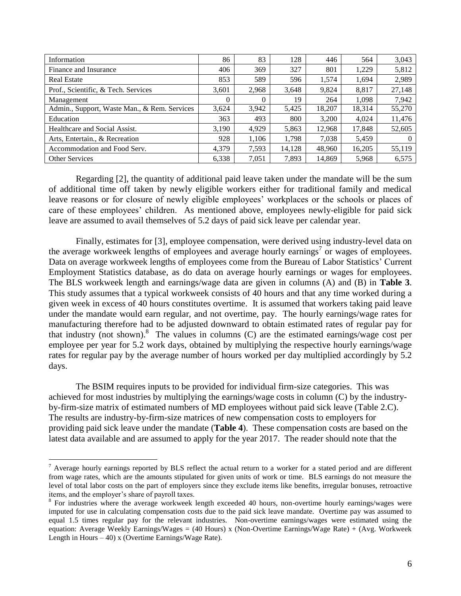| Information                                  | 86       | 83       | 128    | 446    | 564    | 3,043  |
|----------------------------------------------|----------|----------|--------|--------|--------|--------|
| Finance and Insurance                        | 406      | 369      | 327    | 801    | 1,229  | 5,812  |
| <b>Real Estate</b>                           | 853      | 589      | 596    | 1,574  | 1,694  | 2,989  |
| Prof., Scientific, & Tech. Services          | 3,601    | 2.968    | 3,648  | 9,824  | 8,817  | 27,148 |
| Management                                   | $\theta$ | $\Omega$ | 19     | 264    | 1,098  | 7,942  |
| Admin., Support, Waste Man., & Rem. Services | 3,624    | 3,942    | 5,425  | 18,207 | 18,314 | 55,270 |
| Education                                    | 363      | 493      | 800    | 3,200  | 4,024  | 11,476 |
| Healthcare and Social Assist.                | 3,190    | 4.929    | 5,863  | 12.968 | 17.848 | 52,605 |
| Arts, Entertain., & Recreation               | 928      | 1,106    | 1,798  | 7,038  | 5,459  | 0      |
| Accommodation and Food Serv.                 | 4.379    | 7.593    | 14,128 | 48.960 | 16.205 | 55,119 |
| <b>Other Services</b>                        | 6,338    | 7,051    | 7,893  | 14.869 | 5,968  | 6,575  |

Regarding [2], the quantity of additional paid leave taken under the mandate will be the sum of additional time off taken by newly eligible workers either for traditional family and medical leave reasons or for closure of newly eligible employees' workplaces or the schools or places of care of these employees' children. As mentioned above, employees newly-eligible for paid sick leave are assumed to avail themselves of 5.2 days of paid sick leave per calendar year.

Finally, estimates for [3], employee compensation, were derived using industry-level data on the average workweek lengths of employees and average hourly earnings<sup>7</sup> or wages of employees. Data on average workweek lengths of employees come from the Bureau of Labor Statistics' Current Employment Statistics database, as do data on average hourly earnings or wages for employees. The BLS workweek length and earnings/wage data are given in columns (A) and (B) in **Table 3**. This study assumes that a typical workweek consists of 40 hours and that any time worked during a given week in excess of 40 hours constitutes overtime. It is assumed that workers taking paid leave under the mandate would earn regular, and not overtime, pay. The hourly earnings/wage rates for manufacturing therefore had to be adjusted downward to obtain estimated rates of regular pay for that industry (not shown).<sup>8</sup> The values in columns (C) are the estimated earnings/wage cost per employee per year for 5.2 work days, obtained by multiplying the respective hourly earnings/wage rates for regular pay by the average number of hours worked per day multiplied accordingly by 5.2 days.

The BSIM requires inputs to be provided for individual firm-size categories. This was achieved for most industries by multiplying the earnings/wage costs in column (C) by the industryby-firm-size matrix of estimated numbers of MD employees without paid sick leave (Table 2.C). The results are industry-by-firm-size matrices of new compensation costs to employers for providing paid sick leave under the mandate (**Table 4**). These compensation costs are based on the latest data available and are assumed to apply for the year 2017. The reader should note that the

 $7$  Average hourly earnings reported by BLS reflect the actual return to a worker for a stated period and are different from wage rates, which are the amounts stipulated for given units of work or time. BLS earnings do not measure the level of total labor costs on the part of employers since they exclude items like benefits, irregular bonuses, retroactive items, and the employer's share of payroll taxes.

<sup>&</sup>lt;sup>8</sup> For industries where the average workweek length exceeded 40 hours, non-overtime hourly earnings/wages were imputed for use in calculating compensation costs due to the paid sick leave mandate. Overtime pay was assumed to equal 1.5 times regular pay for the relevant industries. Non-overtime earnings/wages were estimated using the equation: Average Weekly Earnings/Wages = (40 Hours) x (Non-Overtime Earnings/Wage Rate) + (Avg. Workweek Length in Hours – 40) x (Overtime Earnings/Wage Rate).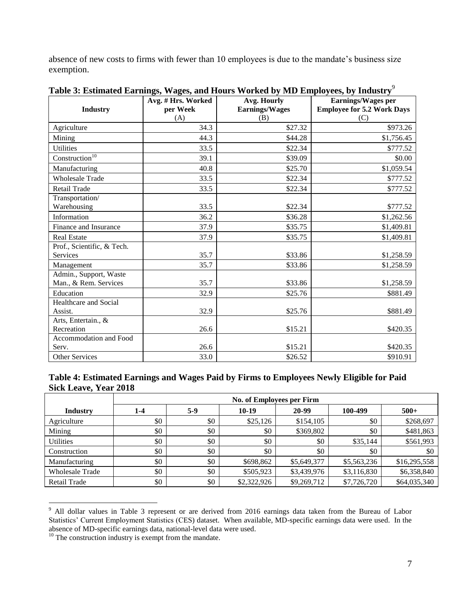absence of new costs to firms with fewer than 10 employees is due to the mandate's business size exemption.

| <b>Industry</b>                                 | <del>o</del> 7 de maio 1999 e 1999 e 1999 e 1999 e 1999 e 1999 e 1999 e 1999 e 1999 e 1999 e 1999 e 1999 e 1999 e 1999 e<br>Avg. # Hrs. Worked<br>per Week<br>(A) | ு⊿<br>Avg. Hourly<br><b>Earnings/Wages</b><br>(B) | Earnings/Wages per<br><b>Employee for 5.2 Work Days</b><br>(C) |
|-------------------------------------------------|-------------------------------------------------------------------------------------------------------------------------------------------------------------------|---------------------------------------------------|----------------------------------------------------------------|
| Agriculture                                     | 34.3                                                                                                                                                              | \$27.32                                           | \$973.26                                                       |
| Mining                                          | 44.3                                                                                                                                                              | \$44.28                                           | \$1,756.45                                                     |
| <b>Utilities</b>                                | 33.5                                                                                                                                                              | \$22.34                                           | \$777.52                                                       |
| Construction <sup>10</sup>                      | 39.1                                                                                                                                                              | \$39.09                                           | \$0.00                                                         |
| Manufacturing                                   | 40.8                                                                                                                                                              | \$25.70                                           | \$1,059.54                                                     |
| <b>Wholesale Trade</b>                          | 33.5                                                                                                                                                              | \$22.34                                           | \$777.52                                                       |
| Retail Trade                                    | 33.5                                                                                                                                                              | \$22.34                                           | \$777.52                                                       |
| Transportation/<br>Warehousing                  | 33.5                                                                                                                                                              | \$22.34                                           | \$777.52                                                       |
| Information                                     | 36.2                                                                                                                                                              | \$36.28                                           | \$1,262.56                                                     |
| Finance and Insurance                           | 37.9                                                                                                                                                              | \$35.75                                           | \$1,409.81                                                     |
| <b>Real Estate</b>                              | 37.9                                                                                                                                                              | \$35.75                                           | \$1,409.81                                                     |
| Prof., Scientific, & Tech.                      |                                                                                                                                                                   |                                                   |                                                                |
| Services                                        | 35.7                                                                                                                                                              | \$33.86                                           | \$1,258.59                                                     |
| Management                                      | 35.7                                                                                                                                                              | \$33.86                                           | \$1,258.59                                                     |
| Admin., Support, Waste<br>Man., & Rem. Services | 35.7                                                                                                                                                              | \$33.86                                           | \$1,258.59                                                     |
| Education                                       | 32.9                                                                                                                                                              | \$25.76                                           | \$881.49                                                       |
| Healthcare and Social<br>Assist.                | 32.9                                                                                                                                                              | \$25.76                                           | \$881.49                                                       |
| Arts, Entertain., &<br>Recreation               | 26.6                                                                                                                                                              | \$15.21                                           | \$420.35                                                       |
| Accommodation and Food<br>Serv.                 | 26.6                                                                                                                                                              | \$15.21                                           | \$420.35                                                       |
| Other Services                                  | 33.0                                                                                                                                                              | \$26.52                                           | \$910.91                                                       |

**Table 3: Estimated Earnings, Wages, and Hours Worked by MD Employees, by Industry**<sup>9</sup>

| Table 4: Estimated Earnings and Wages Paid by Firms to Employees Newly Eligible for Paid |  |  |
|------------------------------------------------------------------------------------------|--|--|
| Sick Leave, Year 2018                                                                    |  |  |

|                        | No. of Employees per Firm |       |             |             |             |              |  |  |  |
|------------------------|---------------------------|-------|-------------|-------------|-------------|--------------|--|--|--|
| <b>Industry</b>        | 1-4                       | $5-9$ | 10-19       | 20-99       | 100-499     | $500+$       |  |  |  |
| Agriculture            | \$0                       | \$0   | \$25,126    | \$154,105   | \$0         | \$268,697    |  |  |  |
| Mining                 | \$0                       | \$0   | \$0         | \$369,802   | \$0         | \$481,863    |  |  |  |
| <b>Utilities</b>       | \$0                       | \$0   | \$0         | \$0         | \$35,144    | \$561,993    |  |  |  |
| Construction           | \$0                       | \$0   | \$0         | \$0         | \$0         | \$0          |  |  |  |
| Manufacturing          | \$0                       | \$0   | \$698,862   | \$5,649,377 | \$5,563,236 | \$16,295,558 |  |  |  |
| <b>Wholesale Trade</b> | \$0                       | \$0   | \$505,923   | \$3,439,976 | \$3,116,830 | \$6,358,840  |  |  |  |
| <b>Retail Trade</b>    | \$0                       | \$0   | \$2,322,926 | \$9,269,712 | \$7,726,720 | \$64,035,340 |  |  |  |

 $\overline{a}$ <sup>9</sup> All dollar values in Table 3 represent or are derived from 2016 earnings data taken from the Bureau of Labor Statistics' Current Employment Statistics (CES) dataset. When available, MD-specific earnings data were used. In the absence of MD-specific earnings data, national-level data were used.

 $10$  The construction industry is exempt from the mandate.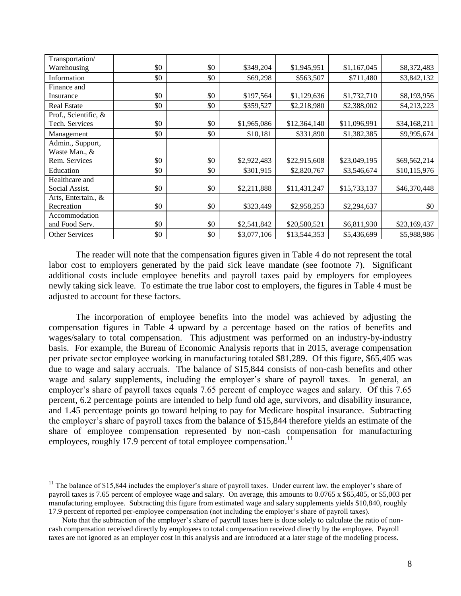| Transportation/      |     |     |             |              |              |              |
|----------------------|-----|-----|-------------|--------------|--------------|--------------|
| Warehousing          | \$0 | \$0 | \$349,204   | \$1,945,951  | \$1,167,045  | \$8,372,483  |
| Information          | \$0 | \$0 | \$69,298    | \$563,507    | \$711,480    | \$3,842,132  |
| Finance and          |     |     |             |              |              |              |
| Insurance            | \$0 | \$0 | \$197,564   | \$1,129,636  | \$1,732,710  | \$8,193,956  |
| <b>Real Estate</b>   | \$0 | \$0 | \$359,527   | \$2,218,980  | \$2,388,002  | \$4,213,223  |
| Prof., Scientific, & |     |     |             |              |              |              |
| Tech. Services       | \$0 | \$0 | \$1,965,086 | \$12,364,140 | \$11,096,991 | \$34,168,211 |
| Management           | \$0 | \$0 | \$10,181    | \$331,890    | \$1,382,385  | \$9,995,674  |
| Admin., Support,     |     |     |             |              |              |              |
| Waste Man., &        |     |     |             |              |              |              |
| Rem. Services        | \$0 | \$0 | \$2,922,483 | \$22,915,608 | \$23,049,195 | \$69,562,214 |
| Education            | \$0 | \$0 | \$301,915   | \$2,820,767  | \$3,546,674  | \$10,115,976 |
| Healthcare and       |     |     |             |              |              |              |
| Social Assist.       | \$0 | \$0 | \$2,211,888 | \$11,431,247 | \$15,733,137 | \$46,370,448 |
| Arts, Entertain., &  |     |     |             |              |              |              |
| Recreation           | \$0 | \$0 | \$323,449   | \$2,958,253  | \$2,294,637  | \$0          |
| Accommodation        |     |     |             |              |              |              |
| and Food Serv.       | \$0 | \$0 | \$2,541,842 | \$20,580,521 | \$6,811,930  | \$23,169,437 |
| Other Services       | \$0 | \$0 | \$3,077,106 | \$13,544,353 | \$5,436,699  | \$5,988,986  |

The reader will note that the compensation figures given in Table 4 do not represent the total labor cost to employers generated by the paid sick leave mandate (see footnote 7). Significant additional costs include employee benefits and payroll taxes paid by employers for employees newly taking sick leave. To estimate the true labor cost to employers, the figures in Table 4 must be adjusted to account for these factors.

The incorporation of employee benefits into the model was achieved by adjusting the compensation figures in Table 4 upward by a percentage based on the ratios of benefits and wages/salary to total compensation. This adjustment was performed on an industry-by-industry basis. For example, the Bureau of Economic Analysis reports that in 2015, average compensation per private sector employee working in manufacturing totaled \$81,289. Of this figure, \$65,405 was due to wage and salary accruals. The balance of \$15,844 consists of non-cash benefits and other wage and salary supplements, including the employer's share of payroll taxes. In general, an employer's share of payroll taxes equals 7.65 percent of employee wages and salary. Of this 7.65 percent, 6.2 percentage points are intended to help fund old age, survivors, and disability insurance, and 1.45 percentage points go toward helping to pay for Medicare hospital insurance. Subtracting the employer's share of payroll taxes from the balance of \$15,844 therefore yields an estimate of the share of employee compensation represented by non-cash compensation for manufacturing employees, roughly 17.9 percent of total employee compensation.<sup>11</sup>

 $11$  The balance of \$15,844 includes the employer's share of payroll taxes. Under current law, the employer's share of payroll taxes is 7.65 percent of employee wage and salary. On average, this amounts to 0.0765 x \$65,405, or \$5,003 per manufacturing employee. Subtracting this figure from estimated wage and salary supplements yields \$10,840, roughly 17.9 percent of reported per-employee compensation (not including the employer's share of payroll taxes).

Note that the subtraction of the employer's share of payroll taxes here is done solely to calculate the ratio of noncash compensation received directly by employees to total compensation received directly by the employee. Payroll taxes are not ignored as an employer cost in this analysis and are introduced at a later stage of the modeling process.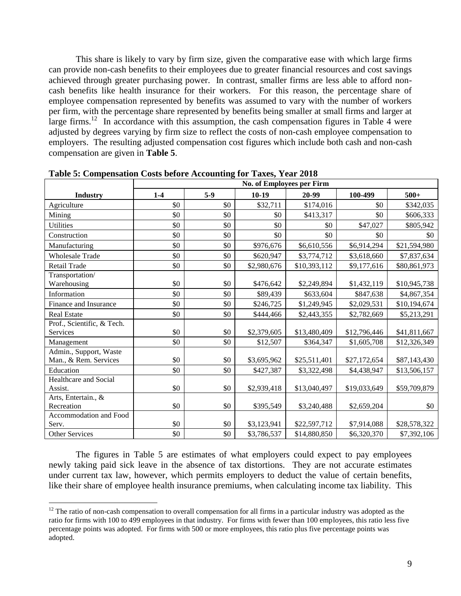This share is likely to vary by firm size, given the comparative ease with which large firms can provide non-cash benefits to their employees due to greater financial resources and cost savings achieved through greater purchasing power. In contrast, smaller firms are less able to afford noncash benefits like health insurance for their workers. For this reason, the percentage share of employee compensation represented by benefits was assumed to vary with the number of workers per firm, with the percentage share represented by benefits being smaller at small firms and larger at large firms.<sup>12</sup> In accordance with this assumption, the cash compensation figures in Table 4 were adjusted by degrees varying by firm size to reflect the costs of non-cash employee compensation to employers. The resulting adjusted compensation cost figures which include both cash and non-cash compensation are given in **Table 5**.

|                                                 | No. of Employees per Firm |       |             |              |              |              |  |  |
|-------------------------------------------------|---------------------------|-------|-------------|--------------|--------------|--------------|--|--|
| <b>Industry</b>                                 | $1 - 4$                   | $5-9$ | $10-19$     | 20-99        | 100-499      | $500+$       |  |  |
| Agriculture                                     | \$0                       | \$0   | \$32,711    | \$174,016    | \$0          | \$342,035    |  |  |
| Mining                                          | \$0                       | \$0   | \$0         | \$413,317    | \$0          | \$606,333    |  |  |
| <b>Utilities</b>                                | \$0                       | \$0   | \$0         | \$0          | \$47,027     | \$805,942    |  |  |
| Construction                                    | \$0                       | \$0   | \$0         | \$0          | \$0          | \$0          |  |  |
| Manufacturing                                   | \$0                       | \$0   | \$976,676   | \$6,610,556  | \$6,914,294  | \$21,594,980 |  |  |
| <b>Wholesale Trade</b>                          | \$0                       | \$0   | \$620,947   | \$3,774,712  | \$3,618,660  | \$7,837,634  |  |  |
| Retail Trade                                    | \$0                       | \$0   | \$2,980,676 | \$10,393,112 | \$9,177,616  | \$80,861,973 |  |  |
| Transportation/<br>Warehousing                  | \$0                       | \$0   | \$476,642   | \$2,249,894  | \$1,432,119  | \$10,945,738 |  |  |
| Information                                     | \$0                       | \$0   | \$89,439    | \$633,604    | \$847,638    | \$4,867,354  |  |  |
| Finance and Insurance                           | \$0                       | \$0   | \$246,725   | \$1,249,945  | \$2,029,531  | \$10,194,674 |  |  |
| <b>Real Estate</b>                              | \$0                       | \$0   | \$444,466   | \$2,443,355  | \$2,782,669  | \$5,213,291  |  |  |
| Prof., Scientific, & Tech.                      |                           |       |             |              |              |              |  |  |
| Services                                        | \$0                       | \$0   | \$2,379,605 | \$13,480,409 | \$12,796,446 | \$41,811,667 |  |  |
| Management                                      | \$0                       | \$0   | \$12,507    | \$364,347    | \$1,605,708  | \$12,326,349 |  |  |
| Admin., Support, Waste<br>Man., & Rem. Services | \$0                       | \$0   | \$3,695,962 | \$25,511,401 | \$27,172,654 | \$87,143,430 |  |  |
| Education                                       | \$0                       | \$0   | \$427,387   | \$3,322,498  | \$4,438,947  | \$13,506,157 |  |  |
| Healthcare and Social<br>Assist.                | \$0                       | \$0   | \$2,939,418 | \$13,040,497 | \$19,033,649 | \$59,709,879 |  |  |
| Arts, Entertain., &<br>Recreation               | \$0                       | \$0   | \$395,549   | \$3,240,488  | \$2,659,204  | \$0          |  |  |
| Accommodation and Food<br>Serv.                 | \$0                       | \$0   | \$3,123,941 | \$22,597,712 | \$7,914,088  | \$28,578,322 |  |  |
| Other Services                                  | \$0                       | \$0   | \$3,786,537 | \$14,880,850 | \$6,320,370  | \$7,392,106  |  |  |

**Table 5: Compensation Costs before Accounting for Taxes, Year 2018**

The figures in Table 5 are estimates of what employers could expect to pay employees newly taking paid sick leave in the absence of tax distortions. They are not accurate estimates under current tax law, however, which permits employers to deduct the value of certain benefits, like their share of employee health insurance premiums, when calculating income tax liability. This

 $12$  The ratio of non-cash compensation to overall compensation for all firms in a particular industry was adopted as the ratio for firms with 100 to 499 employees in that industry. For firms with fewer than 100 employees, this ratio less five percentage points was adopted. For firms with 500 or more employees, this ratio plus five percentage points was adopted.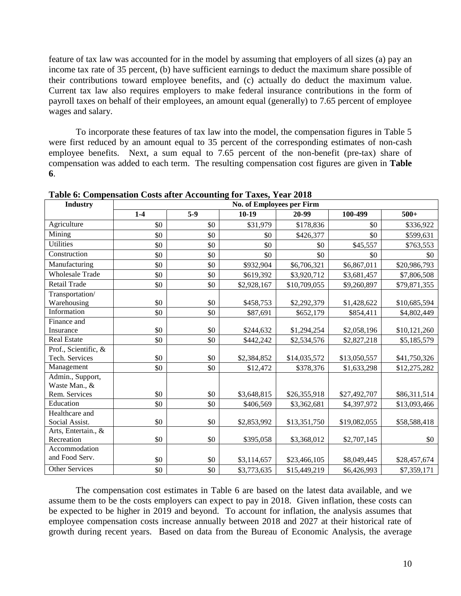feature of tax law was accounted for in the model by assuming that employers of all sizes (a) pay an income tax rate of 35 percent, (b) have sufficient earnings to deduct the maximum share possible of their contributions toward employee benefits, and (c) actually do deduct the maximum value. Current tax law also requires employers to make federal insurance contributions in the form of payroll taxes on behalf of their employees, an amount equal (generally) to 7.65 percent of employee wages and salary.

To incorporate these features of tax law into the model, the compensation figures in Table 5 were first reduced by an amount equal to 35 percent of the corresponding estimates of non-cash employee benefits. Next, a sum equal to 7.65 percent of the non-benefit (pre-tax) share of compensation was added to each term. The resulting compensation cost figures are given in **Table 6**.

| <b>Industry</b>        | <b>No. of Employees per Firm</b> |       |             |              |              |              |  |
|------------------------|----------------------------------|-------|-------------|--------------|--------------|--------------|--|
|                        | $1 - 4$                          | $5-9$ | $10-19$     | 20-99        | 100-499      | $500+$       |  |
| Agriculture            | \$0                              | \$0   | \$31,979    | \$178,836    | \$0          | \$336,922    |  |
| Mining                 | \$0                              | \$0   | \$0         | \$426,377    | \$0          | \$599,631    |  |
| <b>Utilities</b>       | \$0                              | \$0   | \$0         | \$0          | \$45,557     | \$763,553    |  |
| Construction           | \$0                              | \$0   | \$0         | \$0          | \$0          | \$0          |  |
| Manufacturing          | \$0                              | \$0   | \$932,904   | \$6,706,321  | \$6,867,011  | \$20,986,793 |  |
| <b>Wholesale Trade</b> | \$0                              | \$0   | \$619,392   | \$3,920,712  | \$3,681,457  | \$7,806,508  |  |
| <b>Retail Trade</b>    | \$0                              | \$0   | \$2,928,167 | \$10,709,055 | \$9,260,897  | \$79,871,355 |  |
| Transportation/        |                                  |       |             |              |              |              |  |
| Warehousing            | \$0                              | \$0   | \$458,753   | \$2,292,379  | \$1,428,622  | \$10,685,594 |  |
| Information            | \$0                              | \$0   | \$87,691    | \$652,179    | \$854,411    | \$4,802,449  |  |
| Finance and            |                                  |       |             |              |              |              |  |
| Insurance              | \$0                              | \$0   | \$244,632   | \$1,294,254  | \$2,058,196  | \$10,121,260 |  |
| Real Estate            | \$0                              | \$0   | \$442,242   | \$2,534,576  | \$2,827,218  | \$5,185,579  |  |
| Prof., Scientific, &   |                                  |       |             |              |              |              |  |
| Tech. Services         | \$0                              | \$0   | \$2,384,852 | \$14,035,572 | \$13,050,557 | \$41,750,326 |  |
| Management             | \$0                              | \$0   | \$12,472    | \$378,376    | \$1,633,298  | \$12,275,282 |  |
| Admin., Support,       |                                  |       |             |              |              |              |  |
| Waste Man., &          |                                  |       |             |              |              |              |  |
| Rem. Services          | \$0                              | \$0   | \$3,648,815 | \$26,355,918 | \$27,492,707 | \$86,311,514 |  |
| Education              | \$0                              | \$0   | \$406,569   | \$3,362,681  | \$4,397,972  | \$13,093,466 |  |
| Healthcare and         |                                  |       |             |              |              |              |  |
| Social Assist.         | \$0                              | \$0   | \$2,853,992 | \$13,351,750 | \$19,082,055 | \$58,588,418 |  |
| Arts, Entertain., &    |                                  |       |             |              |              |              |  |
| Recreation             | \$0                              | \$0   | \$395,058   | \$3,368,012  | \$2,707,145  | \$0          |  |
| Accommodation          |                                  |       |             |              |              |              |  |
| and Food Serv.         | \$0                              | \$0   | \$3,114,657 | \$23,466,105 | \$8,049,445  | \$28,457,674 |  |
| Other Services         | \$0                              | \$0   | \$3,773,635 | \$15,449,219 | \$6,426,993  | \$7,359,171  |  |

**Table 6: Compensation Costs after Accounting for Taxes, Year 2018**

The compensation cost estimates in Table 6 are based on the latest data available, and we assume them to be the costs employers can expect to pay in 2018. Given inflation, these costs can be expected to be higher in 2019 and beyond. To account for inflation, the analysis assumes that employee compensation costs increase annually between 2018 and 2027 at their historical rate of growth during recent years. Based on data from the Bureau of Economic Analysis, the average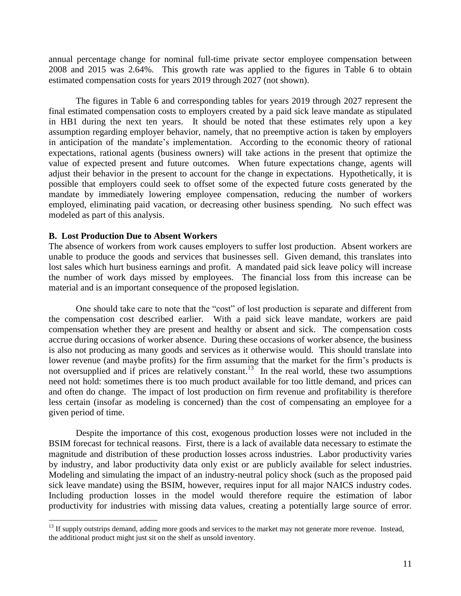annual percentage change for nominal full-time private sector employee compensation between 2008 and 2015 was 2.64%. This growth rate was applied to the figures in Table 6 to obtain estimated compensation costs for years 2019 through 2027 (not shown).

The figures in Table 6 and corresponding tables for years 2019 through 2027 represent the final estimated compensation costs to employers created by a paid sick leave mandate as stipulated in HB1 during the next ten years. It should be noted that these estimates rely upon a key assumption regarding employer behavior, namely, that no preemptive action is taken by employers in anticipation of the mandate's implementation. According to the economic theory of rational expectations, rational agents (business owners) will take actions in the present that optimize the value of expected present and future outcomes. When future expectations change, agents will adjust their behavior in the present to account for the change in expectations. Hypothetically, it is possible that employers could seek to offset some of the expected future costs generated by the mandate by immediately lowering employee compensation, reducing the number of workers employed, eliminating paid vacation, or decreasing other business spending. No such effect was modeled as part of this analysis.

#### **B. Lost Production Due to Absent Workers**

 $\overline{a}$ 

The absence of workers from work causes employers to suffer lost production. Absent workers are unable to produce the goods and services that businesses sell. Given demand, this translates into lost sales which hurt business earnings and profit. A mandated paid sick leave policy will increase the number of work days missed by employees. The financial loss from this increase can be material and is an important consequence of the proposed legislation.

One should take care to note that the "cost" of lost production is separate and different from the compensation cost described earlier. With a paid sick leave mandate, workers are paid compensation whether they are present and healthy or absent and sick. The compensation costs accrue during occasions of worker absence. During these occasions of worker absence, the business is also not producing as many goods and services as it otherwise would. This should translate into lower revenue (and maybe profits) for the firm assuming that the market for the firm's products is not oversupplied and if prices are relatively constant.<sup>13</sup> In the real world, these two assumptions need not hold: sometimes there is too much product available for too little demand, and prices can and often do change. The impact of lost production on firm revenue and profitability is therefore less certain (insofar as modeling is concerned) than the cost of compensating an employee for a given period of time.

Despite the importance of this cost, exogenous production losses were not included in the BSIM forecast for technical reasons. First, there is a lack of available data necessary to estimate the magnitude and distribution of these production losses across industries. Labor productivity varies by industry, and labor productivity data only exist or are publicly available for select industries. Modeling and simulating the impact of an industry-neutral policy shock (such as the proposed paid sick leave mandate) using the BSIM, however, requires input for all major NAICS industry codes. Including production losses in the model would therefore require the estimation of labor productivity for industries with missing data values, creating a potentially large source of error.

 $<sup>13</sup>$  If supply outstrips demand, adding more goods and services to the market may not generate more revenue. Instead,</sup> the additional product might just sit on the shelf as unsold inventory.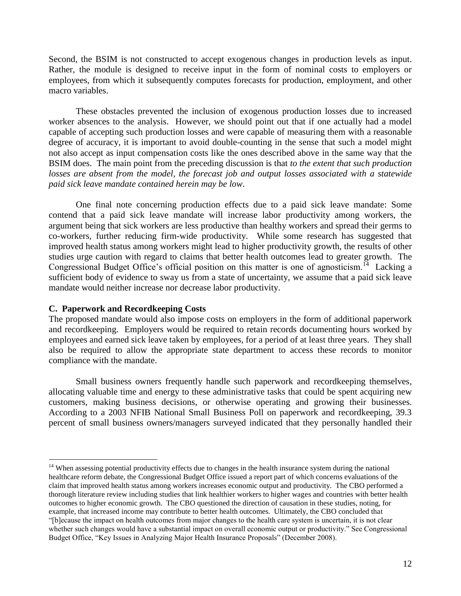Second, the BSIM is not constructed to accept exogenous changes in production levels as input. Rather, the module is designed to receive input in the form of nominal costs to employers or employees, from which it subsequently computes forecasts for production, employment, and other macro variables.

These obstacles prevented the inclusion of exogenous production losses due to increased worker absences to the analysis. However, we should point out that if one actually had a model capable of accepting such production losses and were capable of measuring them with a reasonable degree of accuracy, it is important to avoid double-counting in the sense that such a model might not also accept as input compensation costs like the ones described above in the same way that the BSIM does. The main point from the preceding discussion is that *to the extent that such production losses are absent from the model, the forecast job and output losses associated with a statewide paid sick leave mandate contained herein may be low*.

One final note concerning production effects due to a paid sick leave mandate: Some contend that a paid sick leave mandate will increase labor productivity among workers, the argument being that sick workers are less productive than healthy workers and spread their germs to co-workers, further reducing firm-wide productivity. While some research has suggested that improved health status among workers might lead to higher productivity growth, the results of other studies urge caution with regard to claims that better health outcomes lead to greater growth. The Congressional Budget Office's official position on this matter is one of agnosticism.<sup>14</sup> Lacking a sufficient body of evidence to sway us from a state of uncertainty, we assume that a paid sick leave mandate would neither increase nor decrease labor productivity.

#### **C. Paperwork and Recordkeeping Costs**

 $\overline{a}$ 

The proposed mandate would also impose costs on employers in the form of additional paperwork and recordkeeping. Employers would be required to retain records documenting hours worked by employees and earned sick leave taken by employees, for a period of at least three years. They shall also be required to allow the appropriate state department to access these records to monitor compliance with the mandate.

Small business owners frequently handle such paperwork and recordkeeping themselves, allocating valuable time and energy to these administrative tasks that could be spent acquiring new customers, making business decisions, or otherwise operating and growing their businesses. According to a 2003 NFIB National Small Business Poll on paperwork and recordkeeping, 39.3 percent of small business owners/managers surveyed indicated that they personally handled their

 $14$  When assessing potential productivity effects due to changes in the health insurance system during the national healthcare reform debate, the Congressional Budget Office issued a report part of which concerns evaluations of the claim that improved health status among workers increases economic output and productivity. The CBO performed a thorough literature review including studies that link healthier workers to higher wages and countries with better health outcomes to higher economic growth. The CBO questioned the direction of causation in these studies, noting, for example, that increased income may contribute to better health outcomes. Ultimately, the CBO concluded that "[b]ecause the impact on health outcomes from major changes to the health care system is uncertain, it is not clear whether such changes would have a substantial impact on overall economic output or productivity." See Congressional Budget Office, "Key Issues in Analyzing Major Health Insurance Proposals" (December 2008).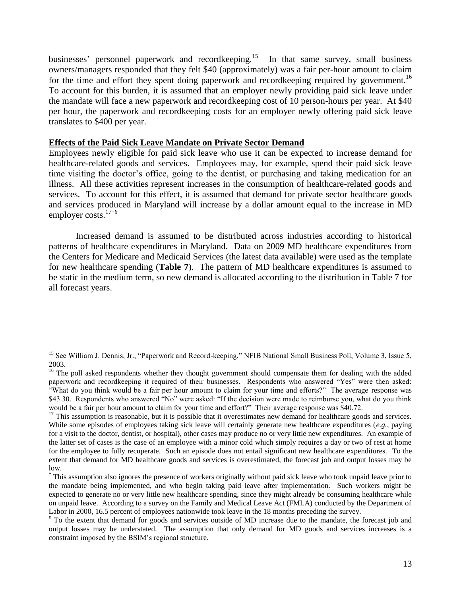businesses' personnel paperwork and recordkeeping.<sup>15</sup> In that same survey, small business owners/managers responded that they felt \$40 (approximately) was a fair per-hour amount to claim for the time and effort they spent doing paperwork and recordkeeping required by government.<sup>16</sup> To account for this burden, it is assumed that an employer newly providing paid sick leave under the mandate will face a new paperwork and recordkeeping cost of 10 person-hours per year. At \$40 per hour, the paperwork and recordkeeping costs for an employer newly offering paid sick leave translates to \$400 per year.

#### **Effects of the Paid Sick Leave Mandate on Private Sector Demand**

 $\overline{a}$ 

Employees newly eligible for paid sick leave who use it can be expected to increase demand for healthcare-related goods and services. Employees may, for example, spend their paid sick leave time visiting the doctor's office, going to the dentist, or purchasing and taking medication for an illness. All these activities represent increases in the consumption of healthcare-related goods and services. To account for this effect, it is assumed that demand for private sector healthcare goods and services produced in Maryland will increase by a dollar amount equal to the increase in MD employer costs.17†¥

Increased demand is assumed to be distributed across industries according to historical patterns of healthcare expenditures in Maryland. Data on 2009 MD healthcare expenditures from the Centers for Medicare and Medicaid Services (the latest data available) were used as the template for new healthcare spending (**Table 7**). The pattern of MD healthcare expenditures is assumed to be static in the medium term, so new demand is allocated according to the distribution in Table 7 for all forecast years.

<sup>&</sup>lt;sup>15</sup> See William J. Dennis, Jr., "Paperwork and Record-keeping," NFIB National Small Business Poll, Volume 3, Issue 5, 2003.

<sup>&</sup>lt;sup>16</sup> The poll asked respondents whether they thought government should compensate them for dealing with the added paperwork and recordkeeping it required of their businesses. Respondents who answered "Yes" were then asked: "What do you think would be a fair per hour amount to claim for your time and efforts?" The average response was \$43.30. Respondents who answered "No" were asked: "If the decision were made to reimburse you, what do you think would be a fair per hour amount to claim for your time and effort?" Their average response was \$40.72.

 $17$  This assumption is reasonable, but it is possible that it overestimates new demand for healthcare goods and services. While some episodes of employees taking sick leave will certainly generate new healthcare expenditures (*e.g.*, paying for a visit to the doctor, dentist, or hospital), other cases may produce no or very little new expenditures. An example of the latter set of cases is the case of an employee with a minor cold which simply requires a day or two of rest at home for the employee to fully recuperate. Such an episode does not entail significant new healthcare expenditures. To the extent that demand for MD healthcare goods and services is overestimated, the forecast job and output losses may be low.

<sup>&</sup>lt;sup>†</sup> This assumption also ignores the presence of workers originally without paid sick leave who took unpaid leave prior to the mandate being implemented, and who begin taking paid leave after implementation. Such workers might be expected to generate no or very little new healthcare spending, since they might already be consuming healthcare while on unpaid leave. According to a survey on the Family and Medical Leave Act (FMLA) conducted by the Department of Labor in 2000, 16.5 percent of employees nationwide took leave in the 18 months preceding the survey.

<sup>¥</sup> To the extent that demand for goods and services outside of MD increase due to the mandate, the forecast job and output losses may be understated. The assumption that only demand for MD goods and services increases is a constraint imposed by the BSIM's regional structure.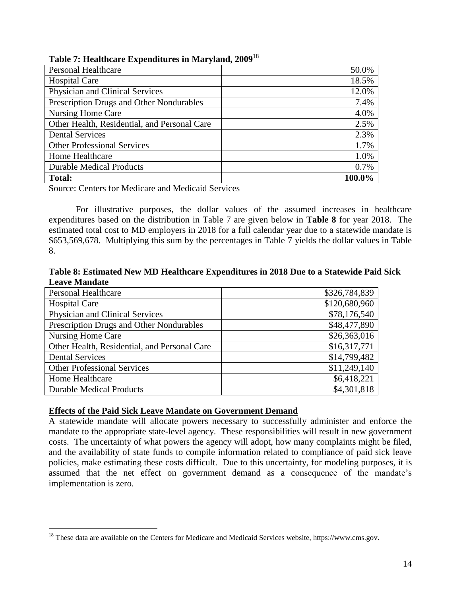|  | Table 7: Healthcare Expenditures in Maryland, 2009 <sup>18</sup> |  |  |
|--|------------------------------------------------------------------|--|--|
|  |                                                                  |  |  |

| <b>Personal Healthcare</b>                   | 50.0%  |
|----------------------------------------------|--------|
| <b>Hospital Care</b>                         | 18.5%  |
| Physician and Clinical Services              | 12.0%  |
| Prescription Drugs and Other Nondurables     | 7.4%   |
| Nursing Home Care                            | 4.0%   |
| Other Health, Residential, and Personal Care | 2.5%   |
| <b>Dental Services</b>                       | 2.3%   |
| <b>Other Professional Services</b>           | 1.7%   |
| Home Healthcare                              | 1.0%   |
| <b>Durable Medical Products</b>              | 0.7%   |
| <b>Total:</b>                                | 100.0% |

Source: Centers for Medicare and Medicaid Services

For illustrative purposes, the dollar values of the assumed increases in healthcare expenditures based on the distribution in Table 7 are given below in **Table 8** for year 2018. The estimated total cost to MD employers in 2018 for a full calendar year due to a statewide mandate is \$653,569,678. Multiplying this sum by the percentages in Table 7 yields the dollar values in Table 8.

**Table 8: Estimated New MD Healthcare Expenditures in 2018 Due to a Statewide Paid Sick Leave Mandate**

| <b>Personal Healthcare</b>                   | \$326,784,839 |
|----------------------------------------------|---------------|
| <b>Hospital Care</b>                         | \$120,680,960 |
| Physician and Clinical Services              | \$78,176,540  |
| Prescription Drugs and Other Nondurables     | \$48,477,890  |
| Nursing Home Care                            | \$26,363,016  |
| Other Health, Residential, and Personal Care | \$16,317,771  |
| <b>Dental Services</b>                       | \$14,799,482  |
| <b>Other Professional Services</b>           | \$11,249,140  |
| Home Healthcare                              | \$6,418,221   |
| <b>Durable Medical Products</b>              | \$4,301,818   |

## **Effects of the Paid Sick Leave Mandate on Government Demand**

 $\overline{a}$ 

A statewide mandate will allocate powers necessary to successfully administer and enforce the mandate to the appropriate state-level agency. These responsibilities will result in new government costs. The uncertainty of what powers the agency will adopt, how many complaints might be filed, and the availability of state funds to compile information related to compliance of paid sick leave policies, make estimating these costs difficult. Due to this uncertainty, for modeling purposes, it is assumed that the net effect on government demand as a consequence of the mandate's implementation is zero.

<sup>&</sup>lt;sup>18</sup> These data are available on the Centers for Medicare and Medicaid Services website, https://www.cms.gov.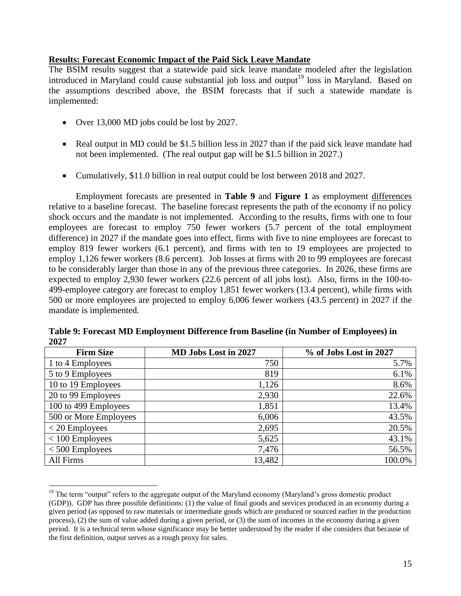## **Results: Forecast Economic Impact of the Paid Sick Leave Mandate**

The BSIM results suggest that a statewide paid sick leave mandate modeled after the legislation introduced in Maryland could cause substantial job loss and output<sup>19</sup> loss in Maryland. Based on the assumptions described above, the BSIM forecasts that if such a statewide mandate is implemented:

• Over 13,000 MD jobs could be lost by 2027.

 $\overline{a}$ 

- Real output in MD could be \$1.5 billion less in 2027 than if the paid sick leave mandate had not been implemented. (The real output gap will be \$1.5 billion in 2027.)
- Cumulatively, \$11.0 billion in real output could be lost between 2018 and 2027.

Employment forecasts are presented in **Table 9** and **Figure 1** as employment differences relative to a baseline forecast. The baseline forecast represents the path of the economy if no policy shock occurs and the mandate is not implemented. According to the results, firms with one to four employees are forecast to employ 750 fewer workers (5.7 percent of the total employment difference) in 2027 if the mandate goes into effect, firms with five to nine employees are forecast to employ 819 fewer workers (6.1 percent), and firms with ten to 19 employees are projected to employ 1,126 fewer workers (8.6 percent). Job losses at firms with 20 to 99 employees are forecast to be considerably larger than those in any of the previous three categories. In 2026, these firms are expected to employ 2,930 fewer workers (22.6 percent of all jobs lost). Also, firms in the 100-to-499-employee category are forecast to employ 1,851 fewer workers (13.4 percent), while firms with 500 or more employees are projected to employ 6,006 fewer workers (43.5 percent) in 2027 if the mandate is implemented.

| <b>Firm Size</b>      | MD Jobs Lost in 2027 | % of Jobs Lost in 2027 |
|-----------------------|----------------------|------------------------|
| 1 to 4 Employees      | 750                  | 5.7%                   |
| 5 to 9 Employees      | 819                  | 6.1%                   |
| 10 to 19 Employees    | 1,126                | 8.6%                   |
| 20 to 99 Employees    | 2,930                | 22.6%                  |
| 100 to 499 Employees  | 1,851                | 13.4%                  |
| 500 or More Employees | 6,006                | 43.5%                  |
| $<$ 20 Employees      | 2,695                | 20.5%                  |
| $<$ 100 Employees     | 5,625                | 43.1%                  |
| $<$ 500 Employees     | 7,476                | 56.5%                  |
| All Firms             | 13,482               | 100.0%                 |

**Table 9: Forecast MD Employment Difference from Baseline (in Number of Employees) in 2027**

 $19$  The term "output" refers to the aggregate output of the Maryland economy (Maryland's gross domestic product (GDP)). GDP has three possible definitions: (1) the value of final goods and services produced in an economy during a given period (as opposed to raw materials or intermediate goods which are produced or sourced earlier in the production process), (2) the sum of value added during a given period, or (3) the sum of incomes in the economy during a given period. It is a technical term whose significance may be better understood by the reader if she considers that because of the first definition, output serves as a rough proxy for sales.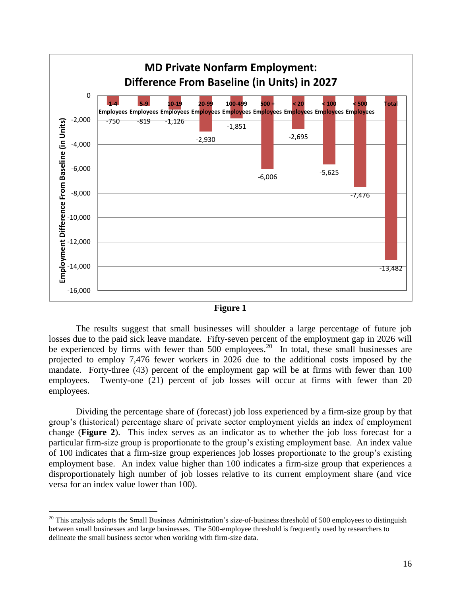

| юн |  |
|----|--|
|    |  |

The results suggest that small businesses will shoulder a large percentage of future job losses due to the paid sick leave mandate. Fifty-seven percent of the employment gap in 2026 will be experienced by firms with fewer than  $500$  employees.<sup>20</sup> In total, these small businesses are projected to employ 7,476 fewer workers in 2026 due to the additional costs imposed by the mandate. Forty-three (43) percent of the employment gap will be at firms with fewer than 100 employees. Twenty-one (21) percent of job losses will occur at firms with fewer than 20 employees.

Dividing the percentage share of (forecast) job loss experienced by a firm-size group by that group's (historical) percentage share of private sector employment yields an index of employment change (**Figure 2**). This index serves as an indicator as to whether the job loss forecast for a particular firm-size group is proportionate to the group's existing employment base. An index value of 100 indicates that a firm-size group experiences job losses proportionate to the group's existing employment base. An index value higher than 100 indicates a firm-size group that experiences a disproportionately high number of job losses relative to its current employment share (and vice versa for an index value lower than 100).

 $20$  This analysis adopts the Small Business Administration's size-of-business threshold of 500 employees to distinguish between small businesses and large businesses. The 500-employee threshold is frequently used by researchers to delineate the small business sector when working with firm-size data.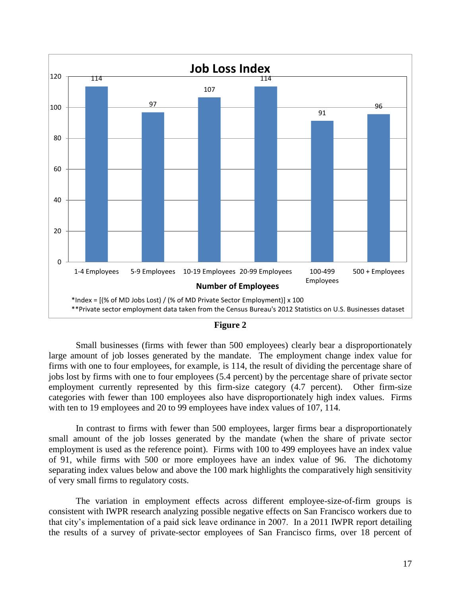

| ٠<br><br>. .<br>ш<br>L |  |
|------------------------|--|
|------------------------|--|

Small businesses (firms with fewer than 500 employees) clearly bear a disproportionately large amount of job losses generated by the mandate. The employment change index value for firms with one to four employees, for example, is 114, the result of dividing the percentage share of jobs lost by firms with one to four employees (5.4 percent) by the percentage share of private sector employment currently represented by this firm-size category (4.7 percent). Other firm-size categories with fewer than 100 employees also have disproportionately high index values. Firms with ten to 19 employees and 20 to 99 employees have index values of 107, 114.

In contrast to firms with fewer than 500 employees, larger firms bear a disproportionately small amount of the job losses generated by the mandate (when the share of private sector employment is used as the reference point). Firms with 100 to 499 employees have an index value of 91, while firms with 500 or more employees have an index value of 96. The dichotomy separating index values below and above the 100 mark highlights the comparatively high sensitivity of very small firms to regulatory costs.

The variation in employment effects across different employee-size-of-firm groups is consistent with IWPR research analyzing possible negative effects on San Francisco workers due to that city's implementation of a paid sick leave ordinance in 2007. In a 2011 IWPR report detailing the results of a survey of private-sector employees of San Francisco firms, over 18 percent of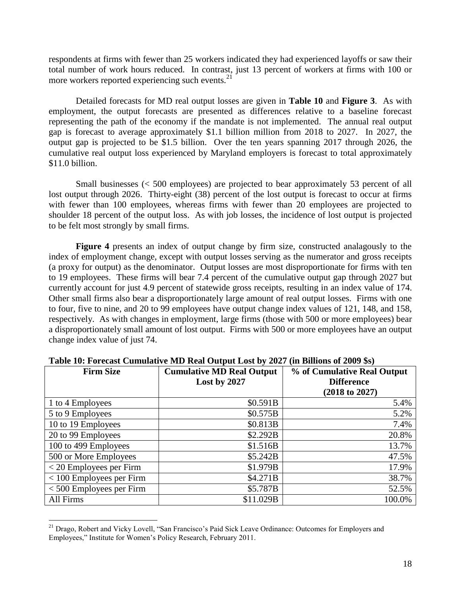respondents at firms with fewer than 25 workers indicated they had experienced layoffs or saw their total number of work hours reduced. In contrast, just 13 percent of workers at firms with 100 or more workers reported experiencing such events.<sup>21</sup>

Detailed forecasts for MD real output losses are given in **Table 10** and **Figure 3**. As with employment, the output forecasts are presented as differences relative to a baseline forecast representing the path of the economy if the mandate is not implemented. The annual real output gap is forecast to average approximately \$1.1 billion million from 2018 to 2027. In 2027, the output gap is projected to be \$1.5 billion. Over the ten years spanning 2017 through 2026, the cumulative real output loss experienced by Maryland employers is forecast to total approximately \$11.0 billion.

Small businesses (< 500 employees) are projected to bear approximately 53 percent of all lost output through 2026. Thirty-eight (38) percent of the lost output is forecast to occur at firms with fewer than 100 employees, whereas firms with fewer than 20 employees are projected to shoulder 18 percent of the output loss. As with job losses, the incidence of lost output is projected to be felt most strongly by small firms.

**Figure 4** presents an index of output change by firm size, constructed analagously to the index of employment change, except with output losses serving as the numerator and gross receipts (a proxy for output) as the denominator. Output losses are most disproportionate for firms with ten to 19 employees. These firms will bear 7.4 percent of the cumulative output gap through 2027 but currently account for just 4.9 percent of statewide gross receipts, resulting in an index value of 174. Other small firms also bear a disproportionately large amount of real output losses. Firms with one to four, five to nine, and 20 to 99 employees have output change index values of 121, 148, and 158, respectively. As with changes in employment, large firms (those with 500 or more employees) bear a disproportionately small amount of lost output. Firms with 500 or more employees have an output change index value of just 74.

| <b>Firm Size</b>           | <b>Cumulative MD Real Output</b><br>Lost by 2027 | % of Cumulative Real Output<br><b>Difference</b> |
|----------------------------|--------------------------------------------------|--------------------------------------------------|
|                            |                                                  | (2018 to 2027)                                   |
| 1 to 4 Employees           | \$0.591B                                         | 5.4%                                             |
| 5 to 9 Employees           | \$0.575B                                         | 5.2%                                             |
| 10 to 19 Employees         | \$0.813B                                         | 7.4%                                             |
| 20 to 99 Employees         | \$2.292B                                         | 20.8%                                            |
| 100 to 499 Employees       | \$1.516B                                         | 13.7%                                            |
| 500 or More Employees      | \$5.242B                                         | 47.5%                                            |
| $<$ 20 Employees per Firm  | \$1.979B                                         | 17.9%                                            |
| $<$ 100 Employees per Firm | \$4.271B                                         | 38.7%                                            |
| $<$ 500 Employees per Firm | \$5.787B                                         | 52.5%                                            |
| All Firms                  | \$11.029B                                        | 100.0%                                           |

**Table 10: Forecast Cumulative MD Real Output Lost by 2027 (in Billions of 2009 \$s)**

<sup>&</sup>lt;sup>21</sup> Drago, Robert and Vicky Lovell, "San Francisco's Paid Sick Leave Ordinance: Outcomes for Employers and Employees," Institute for Women's Policy Research, February 2011.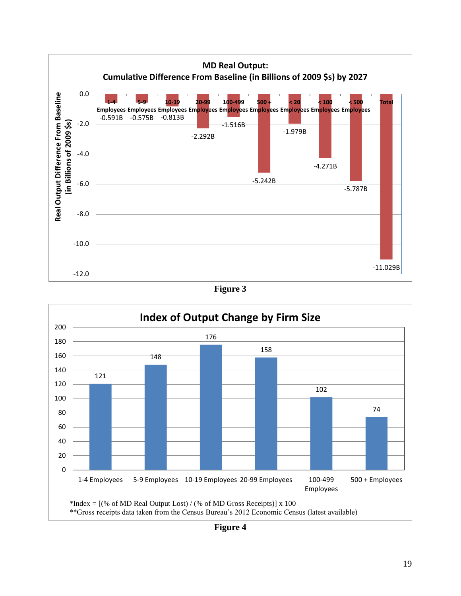





**Figure 4**